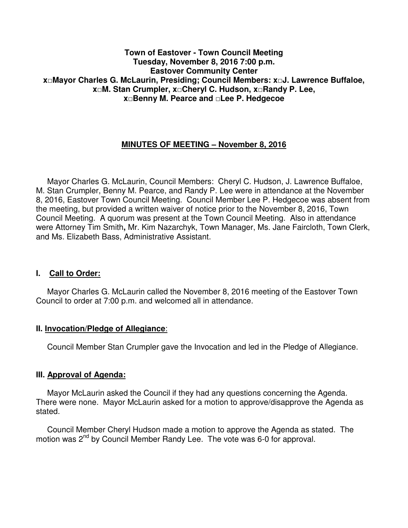#### **Town of Eastover - Town Council Meeting Tuesday, November 8, 2016 7:00 p.m. Eastover Community Center x□Mayor Charles G. McLaurin, Presiding; Council Members: x□J. Lawrence Buffaloe, x□M. Stan Crumpler, x□Cheryl C. Hudson, x□Randy P. Lee, x□Benny M. Pearce and □Lee P. Hedgecoe**

# **MINUTES OF MEETING – November 8, 2016**

 Mayor Charles G. McLaurin, Council Members: Cheryl C. Hudson, J. Lawrence Buffaloe, M. Stan Crumpler, Benny M. Pearce, and Randy P. Lee were in attendance at the November 8, 2016, Eastover Town Council Meeting. Council Member Lee P. Hedgecoe was absent from the meeting, but provided a written waiver of notice prior to the November 8, 2016, Town Council Meeting. A quorum was present at the Town Council Meeting. Also in attendance were Attorney Tim Smith**,** Mr. Kim Nazarchyk, Town Manager, Ms. Jane Faircloth, Town Clerk, and Ms. Elizabeth Bass, Administrative Assistant.

### **I. Call to Order:**

 Mayor Charles G. McLaurin called the November 8, 2016 meeting of the Eastover Town Council to order at 7:00 p.m. and welcomed all in attendance.

### **II. Invocation/Pledge of Allegiance**:

Council Member Stan Crumpler gave the Invocation and led in the Pledge of Allegiance.

#### **III. Approval of Agenda:**

 Mayor McLaurin asked the Council if they had any questions concerning the Agenda. There were none. Mayor McLaurin asked for a motion to approve/disapprove the Agenda as stated.

 Council Member Cheryl Hudson made a motion to approve the Agenda as stated. The motion was 2<sup>nd</sup> by Council Member Randy Lee. The vote was 6-0 for approval.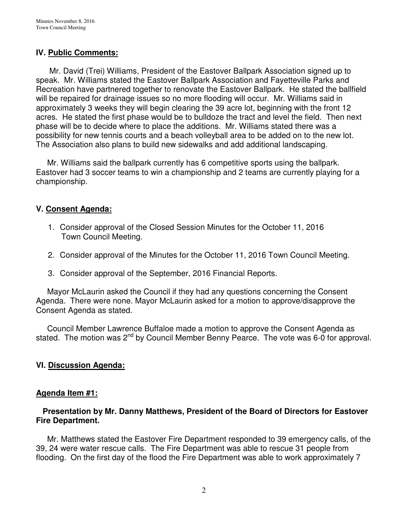# **IV. Public Comments:**

 Mr. David (Trei) Williams, President of the Eastover Ballpark Association signed up to speak. Mr. Williams stated the Eastover Ballpark Association and Fayetteville Parks and Recreation have partnered together to renovate the Eastover Ballpark. He stated the ballfield will be repaired for drainage issues so no more flooding will occur. Mr. Williams said in approximately 3 weeks they will begin clearing the 39 acre lot, beginning with the front 12 acres. He stated the first phase would be to bulldoze the tract and level the field. Then next phase will be to decide where to place the additions. Mr. Williams stated there was a possibility for new tennis courts and a beach volleyball area to be added on to the new lot. The Association also plans to build new sidewalks and add additional landscaping.

 Mr. Williams said the ballpark currently has 6 competitive sports using the ballpark. Eastover had 3 soccer teams to win a championship and 2 teams are currently playing for a championship.

### **V. Consent Agenda:**

- 1. Consider approval of the Closed Session Minutes for the October 11, 2016 Town Council Meeting.
- 2. Consider approval of the Minutes for the October 11, 2016 Town Council Meeting.
- 3. Consider approval of the September, 2016 Financial Reports.

 Mayor McLaurin asked the Council if they had any questions concerning the Consent Agenda. There were none. Mayor McLaurin asked for a motion to approve/disapprove the Consent Agenda as stated.

 Council Member Lawrence Buffaloe made a motion to approve the Consent Agenda as stated. The motion was 2<sup>nd</sup> by Council Member Benny Pearce. The vote was 6-0 for approval.

# **VI. Discussion Agenda:**

### **Agenda Item #1:**

### **Presentation by Mr. Danny Matthews, President of the Board of Directors for Eastover Fire Department.**

Mr. Matthews stated the Eastover Fire Department responded to 39 emergency calls, of the 39, 24 were water rescue calls. The Fire Department was able to rescue 31 people from flooding. On the first day of the flood the Fire Department was able to work approximately 7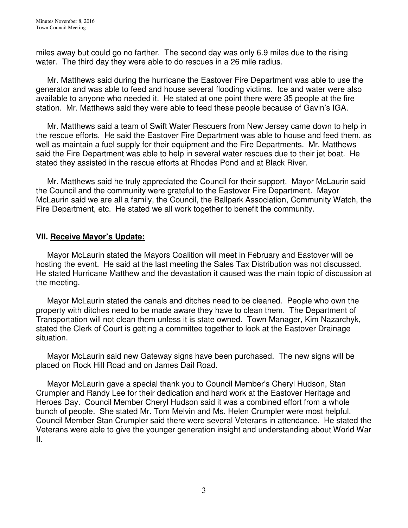miles away but could go no farther. The second day was only 6.9 miles due to the rising water. The third day they were able to do rescues in a 26 mile radius.

 Mr. Matthews said during the hurricane the Eastover Fire Department was able to use the generator and was able to feed and house several flooding victims. Ice and water were also available to anyone who needed it. He stated at one point there were 35 people at the fire station. Mr. Matthews said they were able to feed these people because of Gavin's IGA.

 Mr. Matthews said a team of Swift Water Rescuers from New Jersey came down to help in the rescue efforts. He said the Eastover Fire Department was able to house and feed them, as well as maintain a fuel supply for their equipment and the Fire Departments. Mr. Matthews said the Fire Department was able to help in several water rescues due to their jet boat. He stated they assisted in the rescue efforts at Rhodes Pond and at Black River.

 Mr. Matthews said he truly appreciated the Council for their support. Mayor McLaurin said the Council and the community were grateful to the Eastover Fire Department. Mayor McLaurin said we are all a family, the Council, the Ballpark Association, Community Watch, the Fire Department, etc. He stated we all work together to benefit the community.

### **VII. Receive Mayor's Update:**

 Mayor McLaurin stated the Mayors Coalition will meet in February and Eastover will be hosting the event. He said at the last meeting the Sales Tax Distribution was not discussed. He stated Hurricane Matthew and the devastation it caused was the main topic of discussion at the meeting.

 Mayor McLaurin stated the canals and ditches need to be cleaned. People who own the property with ditches need to be made aware they have to clean them. The Department of Transportation will not clean them unless it is state owned. Town Manager, Kim Nazarchyk, stated the Clerk of Court is getting a committee together to look at the Eastover Drainage situation.

 Mayor McLaurin said new Gateway signs have been purchased. The new signs will be placed on Rock Hill Road and on James Dail Road.

 Mayor McLaurin gave a special thank you to Council Member's Cheryl Hudson, Stan Crumpler and Randy Lee for their dedication and hard work at the Eastover Heritage and Heroes Day. Council Member Cheryl Hudson said it was a combined effort from a whole bunch of people. She stated Mr. Tom Melvin and Ms. Helen Crumpler were most helpful. Council Member Stan Crumpler said there were several Veterans in attendance. He stated the Veterans were able to give the younger generation insight and understanding about World War II.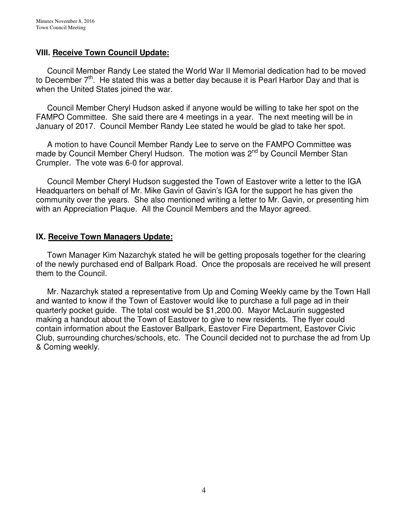### **VIII. Receive Town Council Update:**

 Council Member Randy Lee stated the World War II Memorial dedication had to be moved to December  $7<sup>th</sup>$ . He stated this was a better day because it is Pearl Harbor Day and that is when the United States joined the war.

 Council Member Cheryl Hudson asked if anyone would be willing to take her spot on the FAMPO Committee. She said there are 4 meetings in a year. The next meeting will be in January of 2017. Council Member Randy Lee stated he would be glad to take her spot.

 A motion to have Council Member Randy Lee to serve on the FAMPO Committee was made by Council Member Cheryl Hudson. The motion was 2<sup>nd</sup> by Council Member Stan Crumpler. The vote was 6-0 for approval.

 Council Member Cheryl Hudson suggested the Town of Eastover write a letter to the IGA Headquarters on behalf of Mr. Mike Gavin of Gavin's IGA for the support he has given the community over the years. She also mentioned writing a letter to Mr. Gavin, or presenting him with an Appreciation Plaque. All the Council Members and the Mayor agreed.

### **IX. Receive Town Managers Update:**

 Town Manager Kim Nazarchyk stated he will be getting proposals together for the clearing of the newly purchased end of Ballpark Road. Once the proposals are received he will present them to the Council.

 Mr. Nazarchyk stated a representative from Up and Coming Weekly came by the Town Hall and wanted to know if the Town of Eastover would like to purchase a full page ad in their quarterly pocket guide. The total cost would be \$1,200.00. Mayor McLaurin suggested making a handout about the Town of Eastover to give to new residents. The flyer could contain information about the Eastover Ballpark, Eastover Fire Department, Eastover Civic Club, surrounding churches/schools, etc. The Council decided not to purchase the ad from Up & Coming weekly.